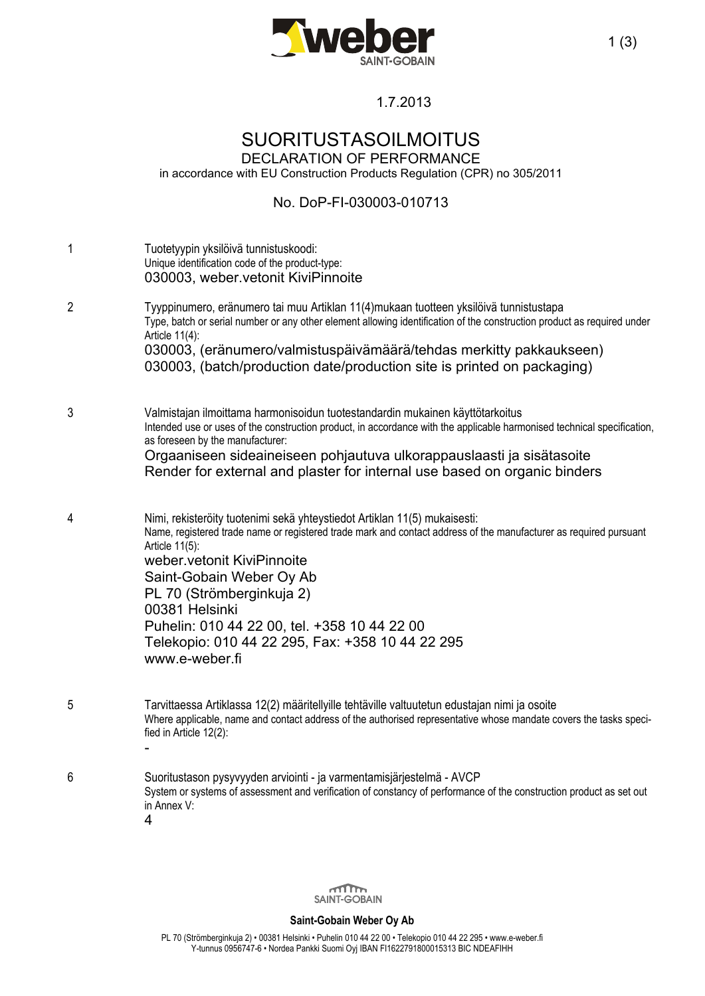

## 1.7.2013

# SUORITUSTASOILMOITUS DECLARATION OF PERFORMANCE

in accordance with EU Construction Products Regulation (CPR) no 305/2011

### No. DoP-FI-030003-010713

| 1              | Tuotetyypin yksilöivä tunnistuskoodi:<br>Unique identification code of the product-type:<br>030003, weber vetonit KiviPinnoite                                                                                                                                                                                                                                                                                                                  |
|----------------|-------------------------------------------------------------------------------------------------------------------------------------------------------------------------------------------------------------------------------------------------------------------------------------------------------------------------------------------------------------------------------------------------------------------------------------------------|
| $\overline{2}$ | Tyyppinumero, eränumero tai muu Artiklan 11(4)mukaan tuotteen yksilöivä tunnistustapa<br>Type, batch or serial number or any other element allowing identification of the construction product as required under<br>Article 11(4):<br>030003, (eränumero/valmistuspäivämäärä/tehdas merkitty pakkaukseen)<br>030003, (batch/production date/production site is printed on packaging)                                                            |
| 3              | Valmistajan ilmoittama harmonisoidun tuotestandardin mukainen käyttötarkoitus<br>Intended use or uses of the construction product, in accordance with the applicable harmonised technical specification,<br>as foreseen by the manufacturer:<br>Orgaaniseen sideaineiseen pohjautuva ulkorappauslaasti ja sisätasoite<br>Render for external and plaster for internal use based on organic binders                                              |
| 4              | Nimi, rekisteröity tuotenimi sekä yhteystiedot Artiklan 11(5) mukaisesti:<br>Name, registered trade name or registered trade mark and contact address of the manufacturer as required pursuant<br>Article 11(5):<br>weber.vetonit KiviPinnoite<br>Saint-Gobain Weber Oy Ab<br>PL 70 (Strömberginkuja 2)<br>00381 Helsinki<br>Puhelin: 010 44 22 00, tel. +358 10 44 22 00<br>Telekopio: 010 44 22 295, Fax: +358 10 44 22 295<br>www.e-weber.fi |
| 5              | Tarvittaessa Artiklassa 12(2) määritellyille tehtäville valtuutetun edustajan nimi ja osoite<br>Where applicable, name and contact address of the authorised representative whose mandate covers the tasks speci-<br>fied in Article 12(2):                                                                                                                                                                                                     |
| 6              | Suoritustason pysyvyyden arviointi - ja varmentamisjärjestelmä - AVCP<br>System or systems of assessment and verification of constancy of performance of the construction product as set out<br>in Annex V:<br>4                                                                                                                                                                                                                                |



#### **Saint-Gobain Weber Oy Ab**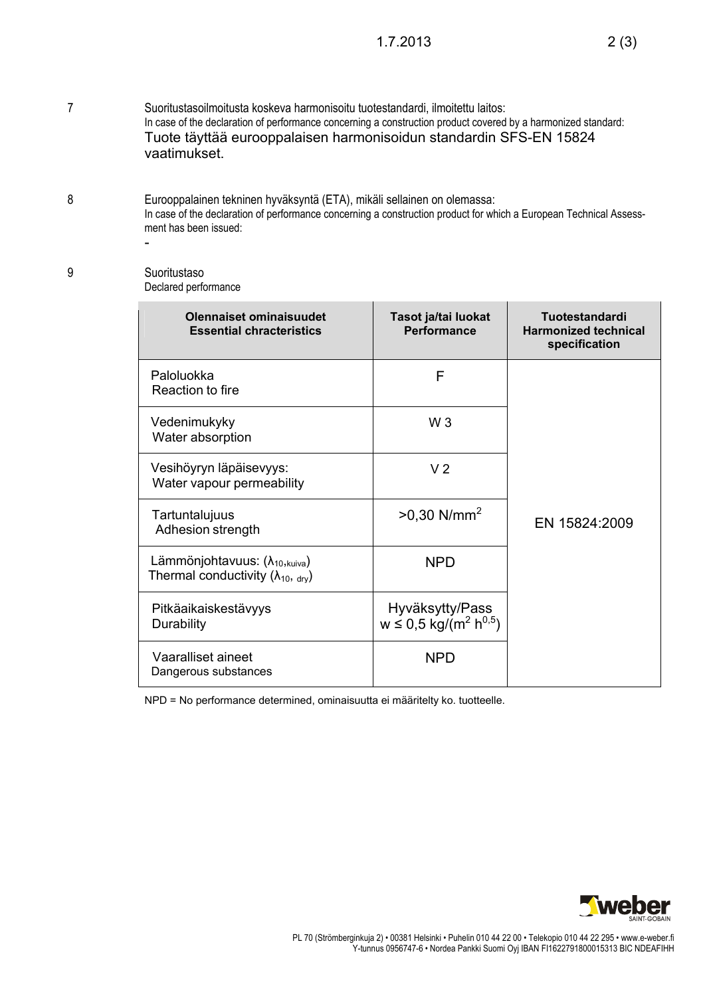7 Suoritustasoilmoitusta koskeva harmonisoitu tuotestandardi, ilmoitettu laitos: In case of the declaration of performance concerning a construction product covered by a harmonized standard: Tuote täyttää eurooppalaisen harmonisoidun standardin SFS-EN 15824 vaatimukset.

8 Eurooppalainen tekninen hyväksyntä (ETA), mikäli sellainen on olemassa: In case of the declaration of performance concerning a construction product for which a European Technical Assessment has been issued:

#### 9 Suoritustaso Declared performance

-

| Olennaiset ominaisuudet<br><b>Essential chracteristics</b>                               | Tasot ja/tai luokat<br>Performance                                   | Tuotestandardi<br><b>Harmonized technical</b><br>specification |
|------------------------------------------------------------------------------------------|----------------------------------------------------------------------|----------------------------------------------------------------|
| Paloluokka<br>Reaction to fire                                                           | F                                                                    | EN 15824:2009                                                  |
| Vedenimukyky<br>Water absorption                                                         | $W_3$                                                                |                                                                |
| Vesihöyryn läpäisevyys:<br>Water vapour permeability                                     | V <sub>2</sub>                                                       |                                                                |
| Tartuntalujuus<br>Adhesion strength                                                      | $>0.30$ N/mm <sup>2</sup>                                            |                                                                |
| Lämmönjohtavuus: $(\lambda_{10, kuiva})$<br>Thermal conductivity ( $\lambda_{10}$ , dry) | <b>NPD</b>                                                           |                                                                |
| Pitkäaikaiskestävyys<br>Durability                                                       | Hyväksytty/Pass<br>$w \le 0.5$ kg/(m <sup>2</sup> h <sup>0,5</sup> ) |                                                                |
| Vaaralliset aineet<br>Dangerous substances                                               | <b>NPD</b>                                                           |                                                                |

NPD = No performance determined, ominaisuutta ei määritelty ko. tuotteelle.